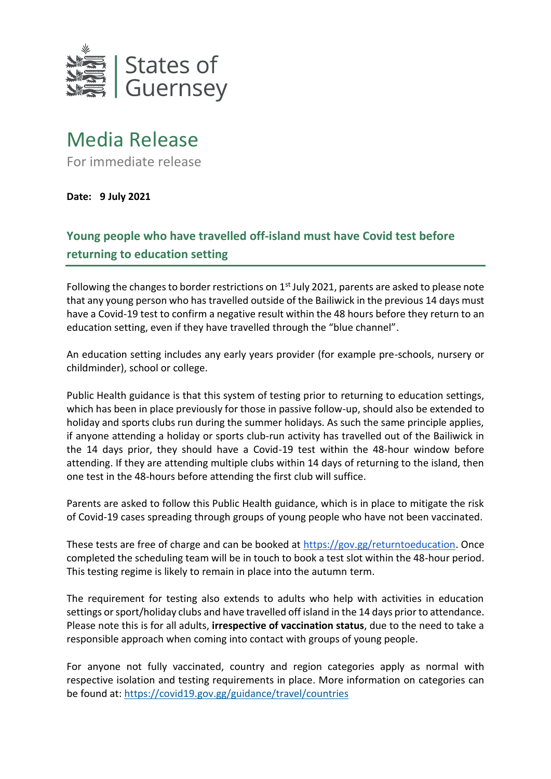

## Media Release

For immediate release

**Date: 9 July 2021**

## **Young people who have travelled off-island must have Covid test before returning to education setting**

Following the changes to border restrictions on 1<sup>st</sup> July 2021, parents are asked to please note that any young person who has travelled outside of the Bailiwick in the previous 14 days must have a Covid-19 test to confirm a negative result within the 48 hours before they return to an education setting, even if they have travelled through the "blue channel".

An education setting includes any early years provider (for example pre-schools, nursery or childminder), school or college.

Public Health guidance is that this system of testing prior to returning to education settings, which has been in place previously for those in passive follow-up, should also be extended to holiday and sports clubs run during the summer holidays. As such the same principle applies, if anyone attending a holiday or sports club-run activity has travelled out of the Bailiwick in the 14 days prior, they should have a Covid-19 test within the 48-hour window before attending. If they are attending multiple clubs within 14 days of returning to the island, then one test in the 48-hours before attending the first club will suffice.

Parents are asked to follow this Public Health guidance, which is in place to mitigate the risk of Covid-19 cases spreading through groups of young people who have not been vaccinated.

These tests are free of charge and can be booked at [https://gov.gg/returntoeducation.](https://gov.gg/returntoeducation) Once completed the scheduling team will be in touch to book a test slot within the 48-hour period. This testing regime is likely to remain in place into the autumn term.

The requirement for testing also extends to adults who help with activities in education settings or sport/holiday clubs and have travelled off island in the 14 days prior to attendance. Please note this is for all adults, **irrespective of vaccination status**, due to the need to take a responsible approach when coming into contact with groups of young people.

For anyone not fully vaccinated, country and region categories apply as normal with respective isolation and testing requirements in place. More information on categories can be found at:<https://covid19.gov.gg/guidance/travel/countries>